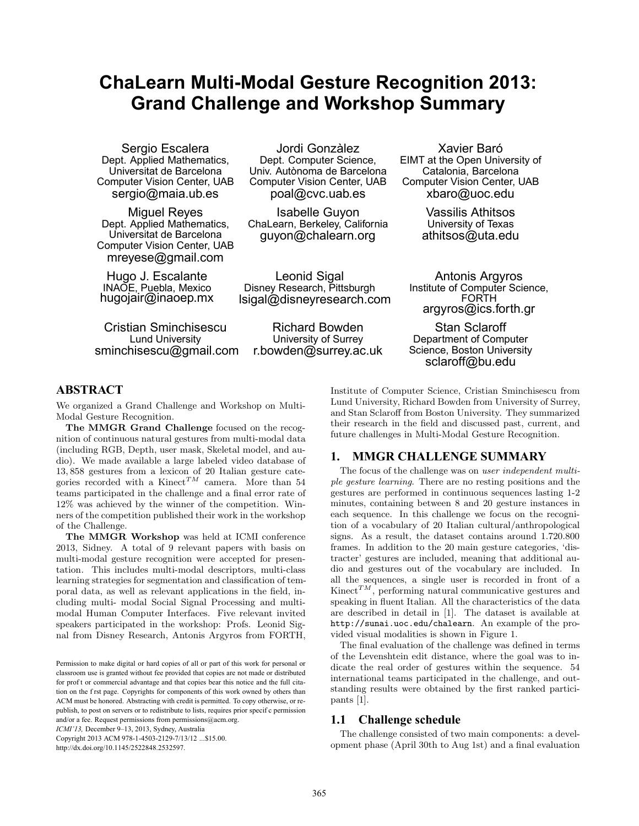# **ChaLearn Multi-Modal Gesture Recognition 2013: Grand Challenge and Workshop Summary**

| Sergio Escalera<br>Dept. Applied Mathematics,<br>Universitat de Barcelona<br><b>Computer Vision Center, UAB</b><br>sergio@maia.ub.es | Jordi Gonzàlez<br>Dept. Computer Science,<br>Univ. Autònoma de Barcelona<br><b>Computer Vision Center, UAB</b><br>poal@cvc.uab.es | Xavier Baró<br>EIMT at the Open University of<br>Catalonia, Barcelona<br><b>Computer Vision Center, UAB</b><br>xbaro@uoc.edu |
|--------------------------------------------------------------------------------------------------------------------------------------|-----------------------------------------------------------------------------------------------------------------------------------|------------------------------------------------------------------------------------------------------------------------------|
| Miguel Reyes<br>Dept. Applied Mathematics,<br>Universitat de Barcelona<br><b>Computer Vision Center, UAB</b><br>mreyese@gmail.com    | Isabelle Guyon<br>ChaLearn, Berkeley, California<br>guyon@chalearn.org                                                            | <b>Vassilis Athitsos</b><br>University of Texas<br>athitsos@uta.edu                                                          |
| Hugo J. Escalante<br>INAOE, Puebla, Mexico<br>hugojair@inaoep.mx                                                                     | Leonid Sigal<br>Disney Research, Pittsburgh<br>Isigal@disneyresearch.com                                                          | Antonis Argyros<br>Institute of Computer Science,<br><b>FORTH</b><br>argyros@ics.forth.gr                                    |
|                                                                                                                                      |                                                                                                                                   | $0.1 - 0.1 - 0.00$                                                                                                           |

Cristian Sminchisescu Lund University sminchisescu@gmail.com

Richard Bowden University of Surrey r.bowden@surrey.ac.uk

Stan Sclaroff Department of Computer Science, Boston University sclaroff@bu.edu

# **ABSTRACT**

We organized a Grand Challenge and Workshop on Multi-Modal Gesture Recognition.

The MMGR Grand Challenge focused on the recognition of continuous natural gestures from multi-modal data (including RGB, Depth, user mask, Skeletal model, and audio). We made available a large labeled video database of 13, 858 gestures from a lexicon of 20 Italian gesture categories recorded with a Kinect<sup>TM</sup> camera. More than 54 teams participated in the challenge and a final error rate of 12% was achieved by the winner of the competition. Winners of the competition published their work in the workshop of the Challenge.

The MMGR Workshop was held at ICMI conference 2013, Sidney. A total of 9 relevant papers with basis on multi-modal gesture recognition were accepted for presentation. This includes multi-modal descriptors, multi-class learning strategies for segmentation and classification of temporal data, as well as relevant applications in the field, including multi- modal Social Signal Processing and multimodal Human Computer Interfaces. Five relevant invited speakers participated in the workshop: Profs. Leonid Signal from Disney Research, Antonis Argyros from FORTH,

*ICMI'13,* December 9–13, 2013, Sydney, Australia

Copyright 2013 ACM 978-1-4503-2129-7/13/12 ...\$15.00.

http://dx.doi.org/10.1145/2522848.2532597.

Institute of Computer Science, Cristian Sminchisescu from Lund University, Richard Bowden from University of Surrey, and Stan Sclaroff from Boston University. They summarized their research in the field and discussed past, current, and future challenges in Multi-Modal Gesture Recognition.

# **1. MMGR CHALLENGE SUMMARY**

The focus of the challenge was on user independent multiple gesture learning. There are no resting positions and the gestures are performed in continuous sequences lasting 1-2 minutes, containing between 8 and 20 gesture instances in each sequence. In this challenge we focus on the recognition of a vocabulary of 20 Italian cultural/anthropological signs. As a result, the dataset contains around 1.720.800 frames. In addition to the 20 main gesture categories, 'distracter' gestures are included, meaning that additional audio and gestures out of the vocabulary are included. In all the sequences, a single user is recorded in front of a Kinect<sup>TM</sup>, performing natural communicative gestures and speaking in fluent Italian. All the characteristics of the data are described in detail in [1]. The dataset is available at http://sunai.uoc.edu/chalearn. An example of the provided visual modalities is shown in Figure 1.

The final evaluation of the challenge was defined in terms of the Levenshtein edit distance, where the goal was to indicate the real order of gestures within the sequence. 54 international teams participated in the challenge, and outstanding results were obtained by the first ranked participants [1].

### **1.1 Challenge schedule**

The challenge consisted of two main components: a development phase (April 30th to Aug 1st) and a final evaluation

Permission to make digital or hard copies of all or part of this work for personal or classroom use is granted without fee provided that copies are not made or distributed for prof t or commercial advantage and that copies bear this notice and the full citation on the f rst page. Copyrights for components of this work owned by others than ACM must be honored. Abstracting with credit is permitted. To copy otherwise, or republish, to post on servers or to redistribute to lists, requires prior specif c permission and/or a fee. Request permissions from permissions@acm.org.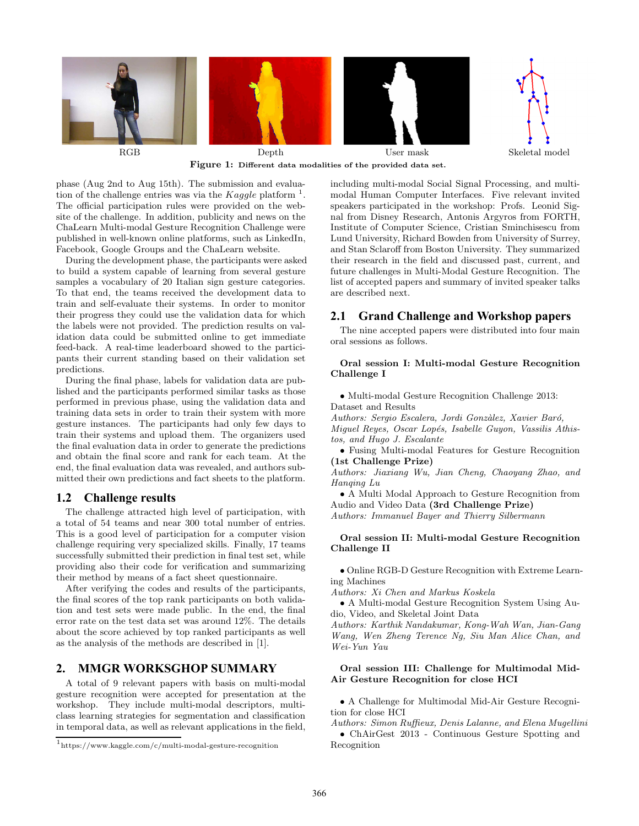

Figure 1: Different data modalities of the provided data set.

phase (Aug 2nd to Aug 15th). The submission and evaluation of the challenge entries was via the Kaggle platform<sup>1</sup>. The official participation rules were provided on the website of the challenge. In addition, publicity and news on the ChaLearn Multi-modal Gesture Recognition Challenge were published in well-known online platforms, such as LinkedIn, Facebook, Google Groups and the ChaLearn website.

During the development phase, the participants were asked to build a system capable of learning from several gesture samples a vocabulary of 20 Italian sign gesture categories. To that end, the teams received the development data to train and self-evaluate their systems. In order to monitor their progress they could use the validation data for which the labels were not provided. The prediction results on validation data could be submitted online to get immediate feed-back. A real-time leaderboard showed to the participants their current standing based on their validation set predictions.

During the final phase, labels for validation data are published and the participants performed similar tasks as those performed in previous phase, using the validation data and training data sets in order to train their system with more gesture instances. The participants had only few days to train their systems and upload them. The organizers used the final evaluation data in order to generate the predictions and obtain the final score and rank for each team. At the end, the final evaluation data was revealed, and authors submitted their own predictions and fact sheets to the platform.

### **1.2 Challenge results**

The challenge attracted high level of participation, with a total of 54 teams and near 300 total number of entries. This is a good level of participation for a computer vision challenge requiring very specialized skills. Finally, 17 teams successfully submitted their prediction in final test set, while providing also their code for verification and summarizing their method by means of a fact sheet questionnaire.

After verifying the codes and results of the participants, the final scores of the top rank participants on both validation and test sets were made public. In the end, the final error rate on the test data set was around 12%. The details about the score achieved by top ranked participants as well as the analysis of the methods are described in [1].

### **2. MMGR WORKSGHOP SUMMARY**

A total of 9 relevant papers with basis on multi-modal gesture recognition were accepted for presentation at the workshop. They include multi-modal descriptors, multiclass learning strategies for segmentation and classification in temporal data, as well as relevant applications in the field, including multi-modal Social Signal Processing, and multimodal Human Computer Interfaces. Five relevant invited speakers participated in the workshop: Profs. Leonid Signal from Disney Research, Antonis Argyros from FORTH, Institute of Computer Science, Cristian Sminchisescu from Lund University, Richard Bowden from University of Surrey, and Stan Sclaroff from Boston University. They summarized their research in the field and discussed past, current, and future challenges in Multi-Modal Gesture Recognition. The list of accepted papers and summary of invited speaker talks are described next.

### **2.1 Grand Challenge and Workshop papers**

The nine accepted papers were distributed into four main oral sessions as follows.

Oral session I: Multi-modal Gesture Recognition Challenge I

• Multi-modal Gesture Recognition Challenge 2013: Dataset and Results

Authors: Sergio Escalera, Jordi Gonzàlez, Xavier Baró,

Miguel Reyes, Oscar Lopés, Isabelle Guyon, Vassilis Athistos, and Hugo J. Escalante

• Fusing Multi-modal Features for Gesture Recognition (1st Challenge Prize)

Authors: Jiaxiang Wu, Jian Cheng, Chaoyang Zhao, and Hanqing Lu

• A Multi Modal Approach to Gesture Recognition from Audio and Video Data (3rd Challenge Prize)

Authors: Immanuel Bayer and Thierry Silbermann

### Oral session II: Multi-modal Gesture Recognition Challenge II

• Online RGB-D Gesture Recognition with Extreme Learning Machines

Authors: Xi Chen and Markus Koskela

• A Multi-modal Gesture Recognition System Using Audio, Video, and Skeletal Joint Data

Authors: Karthik Nandakumar, Kong-Wah Wan, Jian-Gang Wang, Wen Zheng Terence Ng, Siu Man Alice Chan, and Wei-Yun Yau

### Oral session III: Challenge for Multimodal Mid-Air Gesture Recognition for close HCI

• A Challenge for Multimodal Mid-Air Gesture Recognition for close HCI

Authors: Simon Ruffieux, Denis Lalanne, and Elena Mugellini • ChAirGest 2013 - Continuous Gesture Spotting and Recognition

<sup>1</sup> https://www.kaggle.com/c/multi-modal-gesture-recognition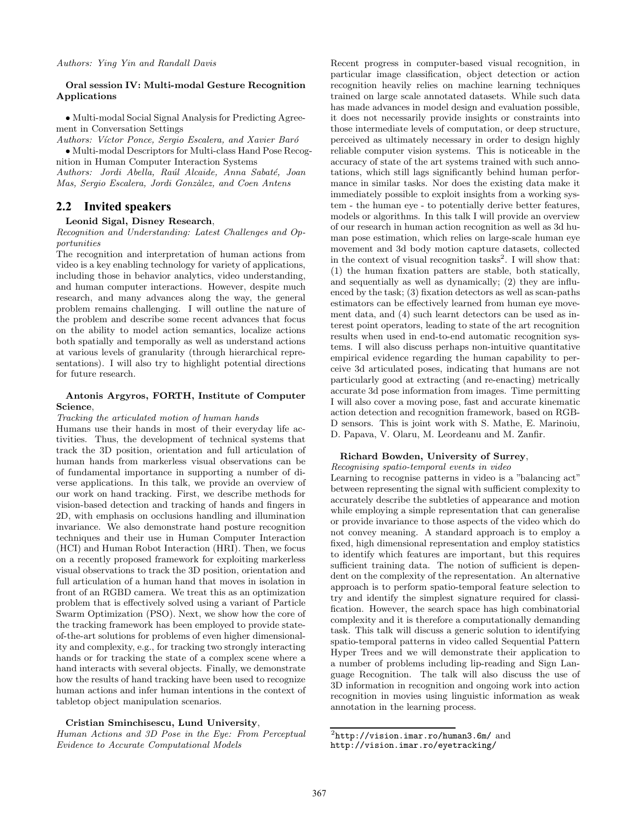### Oral session IV: Multi-modal Gesture Recognition Applications

• Multi-modal Social Signal Analysis for Predicting Agreement in Conversation Settings

Authors: Víctor Ponce, Sergio Escalera, and Xavier Baró • Multi-modal Descriptors for Multi-class Hand Pose Recognition in Human Computer Interaction Systems Authors: Jordi Abella, Raúl Alcaide, Anna Sabaté, Joan

Mas, Sergio Escalera, Jordi Gonzàlez, and Coen Antens

# **2.2 Invited speakers**

#### Leonid Sigal, Disney Research,

Recognition and Understanding: Latest Challenges and Opportunities

The recognition and interpretation of human actions from video is a key enabling technology for variety of applications, including those in behavior analytics, video understanding, and human computer interactions. However, despite much research, and many advances along the way, the general problem remains challenging. I will outline the nature of the problem and describe some recent advances that focus on the ability to model action semantics, localize actions both spatially and temporally as well as understand actions at various levels of granularity (through hierarchical representations). I will also try to highlight potential directions for future research.

### Antonis Argyros, FORTH, Institute of Computer Science,

Tracking the articulated motion of human hands

Humans use their hands in most of their everyday life activities. Thus, the development of technical systems that track the 3D position, orientation and full articulation of human hands from markerless visual observations can be of fundamental importance in supporting a number of diverse applications. In this talk, we provide an overview of our work on hand tracking. First, we describe methods for vision-based detection and tracking of hands and fingers in 2D, with emphasis on occlusions handling and illumination invariance. We also demonstrate hand posture recognition techniques and their use in Human Computer Interaction (HCI) and Human Robot Interaction (HRI). Then, we focus on a recently proposed framework for exploiting markerless visual observations to track the 3D position, orientation and full articulation of a human hand that moves in isolation in front of an RGBD camera. We treat this as an optimization problem that is effectively solved using a variant of Particle Swarm Optimization (PSO). Next, we show how the core of the tracking framework has been employed to provide stateof-the-art solutions for problems of even higher dimensionality and complexity, e.g., for tracking two strongly interacting hands or for tracking the state of a complex scene where a hand interacts with several objects. Finally, we demonstrate how the results of hand tracking have been used to recognize human actions and infer human intentions in the context of tabletop object manipulation scenarios.

#### Cristian Sminchisescu, Lund University,

Human Actions and 3D Pose in the Eye: From Perceptual Evidence to Accurate Computational Models

Recent progress in computer-based visual recognition, in particular image classification, object detection or action recognition heavily relies on machine learning techniques trained on large scale annotated datasets. While such data has made advances in model design and evaluation possible, it does not necessarily provide insights or constraints into those intermediate levels of computation, or deep structure, perceived as ultimately necessary in order to design highly reliable computer vision systems. This is noticeable in the accuracy of state of the art systems trained with such annotations, which still lags significantly behind human performance in similar tasks. Nor does the existing data make it immediately possible to exploit insights from a working system - the human eye - to potentially derive better features, models or algorithms. In this talk I will provide an overview of our research in human action recognition as well as 3d human pose estimation, which relies on large-scale human eye movement and 3d body motion capture datasets, collected in the context of visual recognition tasks<sup>2</sup>. I will show that: (1) the human fixation patters are stable, both statically, and sequentially as well as dynamically; (2) they are influenced by the task; (3) fixation detectors as well as scan-paths estimators can be effectively learned from human eye movement data, and (4) such learnt detectors can be used as interest point operators, leading to state of the art recognition results when used in end-to-end automatic recognition systems. I will also discuss perhaps non-intuitive quantitative empirical evidence regarding the human capability to perceive 3d articulated poses, indicating that humans are not particularly good at extracting (and re-enacting) metrically accurate 3d pose information from images. Time permitting I will also cover a moving pose, fast and accurate kinematic action detection and recognition framework, based on RGB-D sensors. This is joint work with S. Mathe, E. Marinoiu, D. Papava, V. Olaru, M. Leordeanu and M. Zanfir.

#### Richard Bowden, University of Surrey,

Recognising spatio-temporal events in video

Learning to recognise patterns in video is a "balancing act" between representing the signal with sufficient complexity to accurately describe the subtleties of appearance and motion while employing a simple representation that can generalise or provide invariance to those aspects of the video which do not convey meaning. A standard approach is to employ a fixed, high dimensional representation and employ statistics to identify which features are important, but this requires sufficient training data. The notion of sufficient is dependent on the complexity of the representation. An alternative approach is to perform spatio-temporal feature selection to try and identify the simplest signature required for classification. However, the search space has high combinatorial complexity and it is therefore a computationally demanding task. This talk will discuss a generic solution to identifying spatio-temporal patterns in video called Sequential Pattern Hyper Trees and we will demonstrate their application to a number of problems including lip-reading and Sign Language Recognition. The talk will also discuss the use of 3D information in recognition and ongoing work into action recognition in movies using linguistic information as weak annotation in the learning process.

 $^{2}$ http://vision.imar.ro/human3.6m/ and http://vision.imar.ro/eyetracking/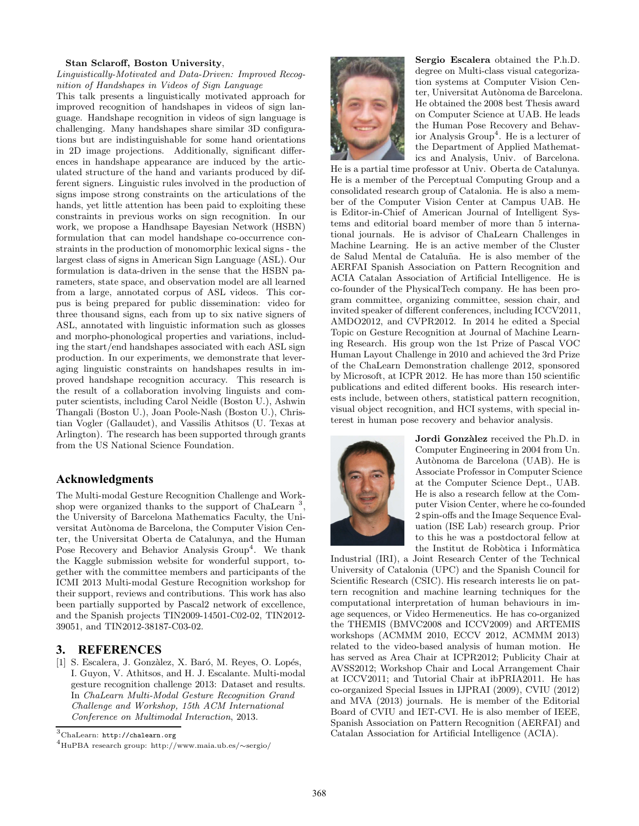### Stan Sclaroff, Boston University,

### Linguistically-Motivated and Data-Driven: Improved Recognition of Handshapes in Videos of Sign Language

This talk presents a linguistically motivated approach for improved recognition of handshapes in videos of sign language. Handshape recognition in videos of sign language is challenging. Many handshapes share similar 3D configurations but are indistinguishable for some hand orientations in 2D image projections. Additionally, significant differences in handshape appearance are induced by the articulated structure of the hand and variants produced by different signers. Linguistic rules involved in the production of signs impose strong constraints on the articulations of the hands, yet little attention has been paid to exploiting these constraints in previous works on sign recognition. In our work, we propose a Handhsape Bayesian Network (HSBN) formulation that can model handshape co-occurrence constraints in the production of monomorphic lexical signs - the largest class of signs in American Sign Language (ASL). Our formulation is data-driven in the sense that the HSBN parameters, state space, and observation model are all learned from a large, annotated corpus of ASL videos. This corpus is being prepared for public dissemination: video for three thousand signs, each from up to six native signers of ASL, annotated with linguistic information such as glosses and morpho-phonological properties and variations, including the start/end handshapes associated with each ASL sign production. In our experiments, we demonstrate that leveraging linguistic constraints on handshapes results in improved handshape recognition accuracy. This research is the result of a collaboration involving linguists and computer scientists, including Carol Neidle (Boston U.), Ashwin Thangali (Boston U.), Joan Poole-Nash (Boston U.), Christian Vogler (Gallaudet), and Vassilis Athitsos (U. Texas at Arlington). The research has been supported through grants from the US National Science Foundation.

## **Acknowledgments**

The Multi-modal Gesture Recognition Challenge and Workshop were organized thanks to the support of ChaLearn<sup>3</sup>, the University of Barcelona Mathematics Faculty, the Universitat Autònoma de Barcelona, the Computer Vision Center, the Universitat Oberta de Catalunya, and the Human Pose Recovery and Behavior Analysis Group<sup>4</sup>. We thank the Kaggle submission website for wonderful support, together with the committee members and participants of the ICMI 2013 Multi-modal Gesture Recognition workshop for their support, reviews and contributions. This work has also been partially supported by Pascal2 network of excellence, and the Spanish projects TIN2009-14501-C02-02, TIN2012- 39051, and TIN2012-38187-C03-02.

# **3. REFERENCES**

[1] S. Escalera, J. Gonzàlez, X. Baró, M. Reyes, O. Lopés, I. Guyon, V. Athitsos, and H. J. Escalante. Multi-modal gesture recognition challenge 2013: Dataset and results. In ChaLearn Multi-Modal Gesture Recognition Grand Challenge and Workshop, 15th ACM International Conference on Multimodal Interaction, 2013.



Sergio Escalera obtained the P.h.D. degree on Multi-class visual categorization systems at Computer Vision Center, Universitat Autònoma de Barcelona. He obtained the 2008 best Thesis award on Computer Science at UAB. He leads the Human Pose Recovery and Behavior Analysis Group<sup>4</sup> . He is a lecturer of the Department of Applied Mathematics and Analysis, Univ. of Barcelona.

He is a partial time professor at Univ. Oberta de Catalunya. He is a member of the Perceptual Computing Group and a consolidated research group of Catalonia. He is also a member of the Computer Vision Center at Campus UAB. He is Editor-in-Chief of American Journal of Intelligent Systems and editorial board member of more than 5 international journals. He is advisor of ChaLearn Challenges in Machine Learning. He is an active member of the Cluster de Salud Mental de Cataluña. He is also member of the AERFAI Spanish Association on Pattern Recognition and ACIA Catalan Association of Artificial Intelligence. He is co-founder of the PhysicalTech company. He has been program committee, organizing committee, session chair, and invited speaker of different conferences, including ICCV2011, AMDO2012, and CVPR2012. In 2014 he edited a Special Topic on Gesture Recognition at Journal of Machine Learning Research. His group won the 1st Prize of Pascal VOC Human Layout Challenge in 2010 and achieved the 3rd Prize of the ChaLearn Demonstration challenge 2012, sponsored by Microsoft, at ICPR 2012. He has more than 150 scientific publications and edited different books. His research interests include, between others, statistical pattern recognition, visual object recognition, and HCI systems, with special interest in human pose recovery and behavior analysis.



Jordi Gonzàlez received the Ph.D. in Computer Engineering in 2004 from Un. Autònoma de Barcelona (UAB). He is Associate Professor in Computer Science at the Computer Science Dept., UAB. He is also a research fellow at the Computer Vision Center, where he co-founded 2 spin-offs and the Image Sequence Evaluation (ISE Lab) research group. Prior to this he was a postdoctoral fellow at the Institut de Robòtica i Informàtica

Industrial (IRI), a Joint Research Center of the Technical University of Catalonia (UPC) and the Spanish Council for Scientific Research (CSIC). His research interests lie on pattern recognition and machine learning techniques for the computational interpretation of human behaviours in image sequences, or Video Hermeneutics. He has co-organized the THEMIS (BMVC2008 and ICCV2009) and ARTEMIS workshops (ACMMM 2010, ECCV 2012, ACMMM 2013) related to the video-based analysis of human motion. He has served as Area Chair at ICPR2012; Publicity Chair at AVSS2012; Workshop Chair and Local Arrangement Chair at ICCV2011; and Tutorial Chair at ibPRIA2011. He has co-organized Special Issues in IJPRAI (2009), CVIU (2012) and MVA (2013) journals. He is member of the Editorial Board of CVIU and IET-CVI. He is also member of IEEE, Spanish Association on Pattern Recognition (AERFAI) and Catalan Association for Artificial Intelligence (ACIA).

 $^3\rm Chal.$  http://chalearn.org

<sup>4</sup>HuPBA research group: http://www.maia.ub.es/∼sergio/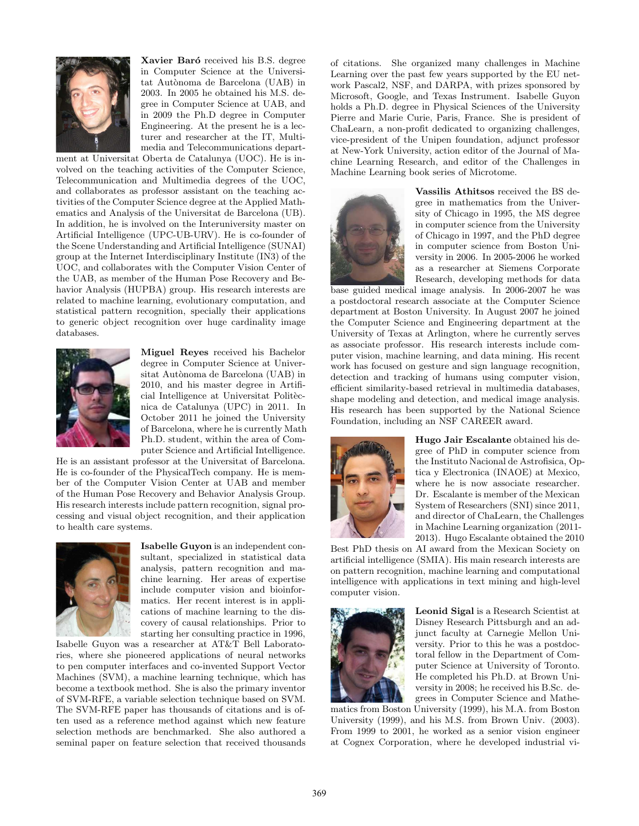

Xavier Baró received his B.S. degree in Computer Science at the Universitat Autònoma de Barcelona (UAB) in 2003. In 2005 he obtained his M.S. degree in Computer Science at UAB, and in 2009 the Ph.D degree in Computer Engineering. At the present he is a lecturer and researcher at the IT, Multimedia and Telecommunications depart-

ment at Universitat Oberta de Catalunya (UOC). He is involved on the teaching activities of the Computer Science, Telecommunication and Multimedia degrees of the UOC, and collaborates as professor assistant on the teaching activities of the Computer Science degree at the Applied Mathematics and Analysis of the Universitat de Barcelona (UB). In addition, he is involved on the Interuniversity master on Artificial Intelligence (UPC-UB-URV). He is co-founder of the Scene Understanding and Artificial Intelligence (SUNAI) group at the Internet Interdisciplinary Institute (IN3) of the UOC, and collaborates with the Computer Vision Center of the UAB, as member of the Human Pose Recovery and Behavior Analysis (HUPBA) group. His research interests are related to machine learning, evolutionary computation, and statistical pattern recognition, specially their applications to generic object recognition over huge cardinality image databases.



Miguel Reyes received his Bachelor degree in Computer Science at Universitat Autònoma de Barcelona (UAB) in 2010, and his master degree in Artificial Intelligence at Universitat Politècnica de Catalunya (UPC) in 2011. In October 2011 he joined the University of Barcelona, where he is currently Math Ph.D. student, within the area of Computer Science and Artificial Intelligence.

He is an assistant professor at the Universitat of Barcelona. He is co-founder of the PhysicalTech company. He is member of the Computer Vision Center at UAB and member of the Human Pose Recovery and Behavior Analysis Group. His research interests include pattern recognition, signal processing and visual object recognition, and their application to health care systems.



Isabelle Guyon is an independent consultant, specialized in statistical data analysis, pattern recognition and machine learning. Her areas of expertise include computer vision and bioinformatics. Her recent interest is in applications of machine learning to the discovery of causal relationships. Prior to starting her consulting practice in 1996,

Isabelle Guyon was a researcher at AT&T Bell Laboratories, where she pioneered applications of neural networks to pen computer interfaces and co-invented Support Vector Machines (SVM), a machine learning technique, which has become a textbook method. She is also the primary inventor of SVM-RFE, a variable selection technique based on SVM. The SVM-RFE paper has thousands of citations and is often used as a reference method against which new feature selection methods are benchmarked. She also authored a seminal paper on feature selection that received thousands

of citations. She organized many challenges in Machine Learning over the past few years supported by the EU network Pascal2, NSF, and DARPA, with prizes sponsored by Microsoft, Google, and Texas Instrument. Isabelle Guyon holds a Ph.D. degree in Physical Sciences of the University Pierre and Marie Curie, Paris, France. She is president of ChaLearn, a non-profit dedicated to organizing challenges, vice-president of the Unipen foundation, adjunct professor at New-York University, action editor of the Journal of Machine Learning Research, and editor of the Challenges in Machine Learning book series of Microtome.



Vassilis Athitsos received the BS degree in mathematics from the University of Chicago in 1995, the MS degree in computer science from the University of Chicago in 1997, and the PhD degree in computer science from Boston University in 2006. In 2005-2006 he worked as a researcher at Siemens Corporate Research, developing methods for data

base guided medical image analysis. In 2006-2007 he was a postdoctoral research associate at the Computer Science department at Boston University. In August 2007 he joined the Computer Science and Engineering department at the University of Texas at Arlington, where he currently serves as associate professor. His research interests include computer vision, machine learning, and data mining. His recent work has focused on gesture and sign language recognition, detection and tracking of humans using computer vision, efficient similarity-based retrieval in multimedia databases, shape modeling and detection, and medical image analysis. His research has been supported by the National Science Foundation, including an NSF CAREER award.



Hugo Jair Escalante obtained his degree of PhD in computer science from the Instituto Nacional de Astrofisica, Optica y Electronica (INAOE) at Mexico, where he is now associate researcher. Dr. Escalante is member of the Mexican System of Researchers (SNI) since 2011, and director of ChaLearn, the Challenges in Machine Learning organization (2011- 2013). Hugo Escalante obtained the 2010

Best PhD thesis on AI award from the Mexican Society on artificial intelligence (SMIA). His main research interests are on pattern recognition, machine learning and computational intelligence with applications in text mining and high-level computer vision.



Leonid Sigal is a Research Scientist at Disney Research Pittsburgh and an adjunct faculty at Carnegie Mellon University. Prior to this he was a postdoctoral fellow in the Department of Computer Science at University of Toronto. He completed his Ph.D. at Brown University in 2008; he received his B.Sc. degrees in Computer Science and Mathe-

matics from Boston University (1999), his M.A. from Boston University (1999), and his M.S. from Brown Univ. (2003). From 1999 to 2001, he worked as a senior vision engineer at Cognex Corporation, where he developed industrial vi